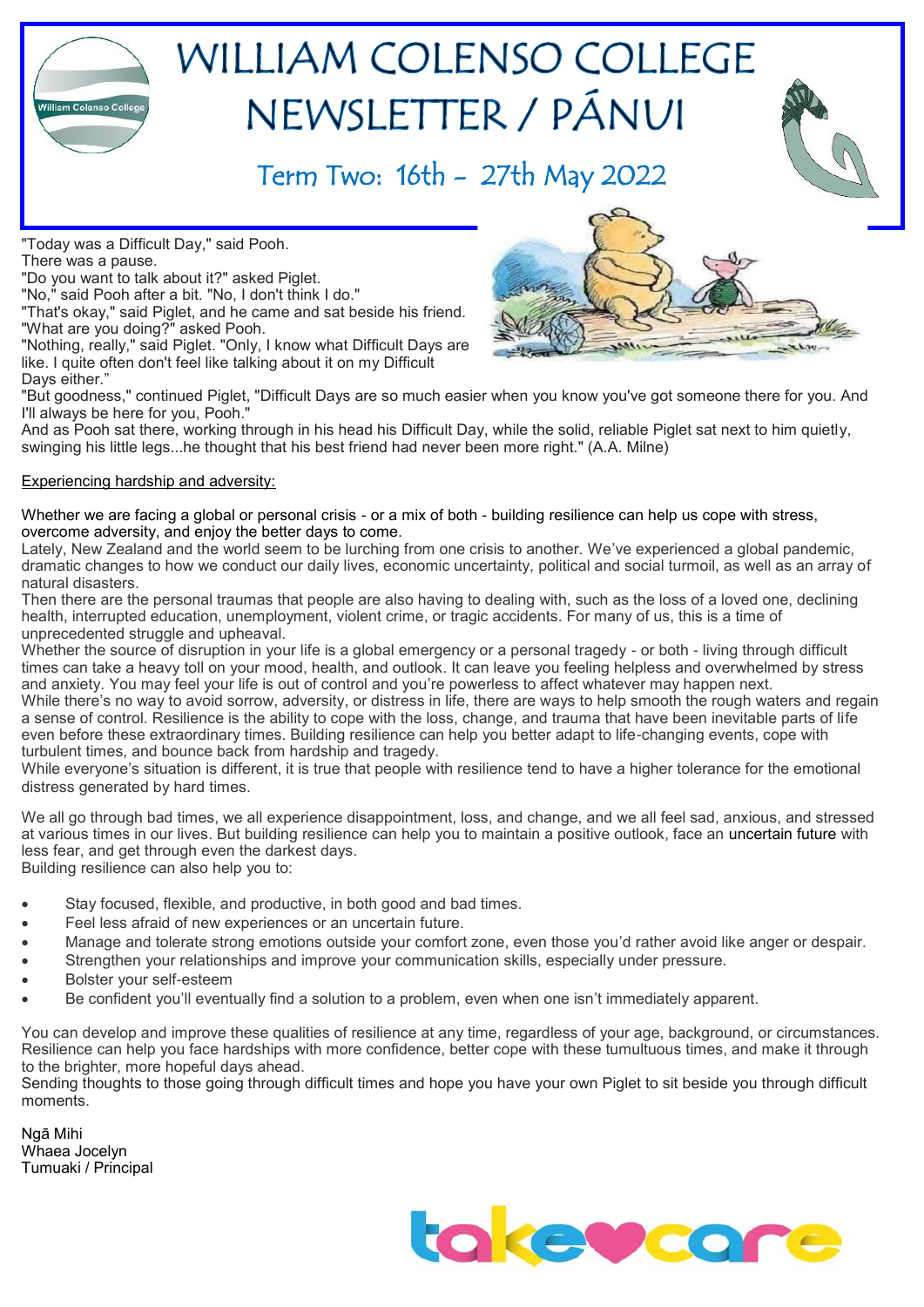

# WILLIAM COLENSO COLLEGE NEWSLETTER / PÁNUI

#### Term Two: 16th - 27th May 2022

"Today was a Difficult Day," said Pooh. There was a pause.

- "Do you want to talk about it?" asked Piglet.
- "No," said Pooh after a bit. "No, I don't think I do."

"That's okay," said Piglet, and he came and sat beside his friend. "What are you doing?" asked Pooh.

"Nothing, really," said Piglet. "Only, I know what Difficult Days are like. I quite often don't feel like talking about it on my Difficult Days either."

"But goodness," continued Piglet, "Difficult Days are so much easier when you know you've got someone there for you. And I'll always be here for you, Pooh."

And as Pooh sat there, working through in his head his Difficult Day, while the solid, reliable Piglet sat next to him quietly, swinging his little legs...he thought that his best friend had never been more right." (A.A. Milne)

#### Experiencing hardship and adversity:

Whether we are facing a global or personal crisis - or a mix of both - building resilience can help us cope with stress, overcome adversity, and enjoy the better days to come.

Lately, New Zealand and the world seem to be lurching from one crisis to another. We've experienced a global pandemic, dramatic changes to how we conduct our daily lives, economic uncertainty, political and social turmoil, as well as an array of natural disasters.

Then there are the personal traumas that people are also having to dealing with, such as the loss of a loved one, declining health, interrupted education, unemployment, violent crime, or tragic accidents. For many of us, this is a time of unprecedented struggle and upheaval.

Whether the source of disruption in your life is a global emergency or a personal tragedy - or both - living through difficult times can take a heavy toll on your mood, health, and outlook. It can leave you feeling helpless and overwhelmed by stress and anxiety. You may feel your life is out of control and you're powerless to affect whatever may happen next.

While there's no way to avoid sorrow, adversity, or distress in life, there are ways to help smooth the rough waters and regain a sense of control. Resilience is the ability to cope with the loss, change, and trauma that have been inevitable parts of life even before these extraordinary times. Building resilience can help you better adapt to life-changing events, cope with turbulent times, and bounce back from hardship and tragedy.

While everyone's situation is different, it is true that people with resilience tend to have a higher tolerance for the emotional distress generated by hard times.

We all go through bad times, we all experience disappointment, loss, and change, and we all feel sad, anxious, and stressed at various times in our lives. But building resilience can help you to maintain a positive outlook, face an [uncertain future](https://www.helpguide.org/articles/anxiety/dealing-with-uncertainty.htm) with less fear, and get through even the darkest days. Building resilience can also help you to:

- Stay focused, flexible, and productive, in both good and bad times.
- Feel less afraid of new experiences or an uncertain future.
- Manage and tolerate strong emotions outside your comfort zone, even those you'd rather avoid like anger or despair.
- Strengthen your relationships and improve your communication skills, especially under pressure.
- Bolster your self-esteem
- Be confident you'll eventually find a solution to a problem, even when one isn't immediately apparent.

You can develop and improve these qualities of resilience at any time, regardless of your age, background, or circumstances. Resilience can help you face hardships with more confidence, better cope with these tumultuous times, and make it through to the brighter, more hopeful days ahead.

Sending thoughts to those going through difficult times and hope you have your own Piglet to sit beside you through difficult moments.

Ngā Mihi Whaea Jocelyn Tumuaki / Principal



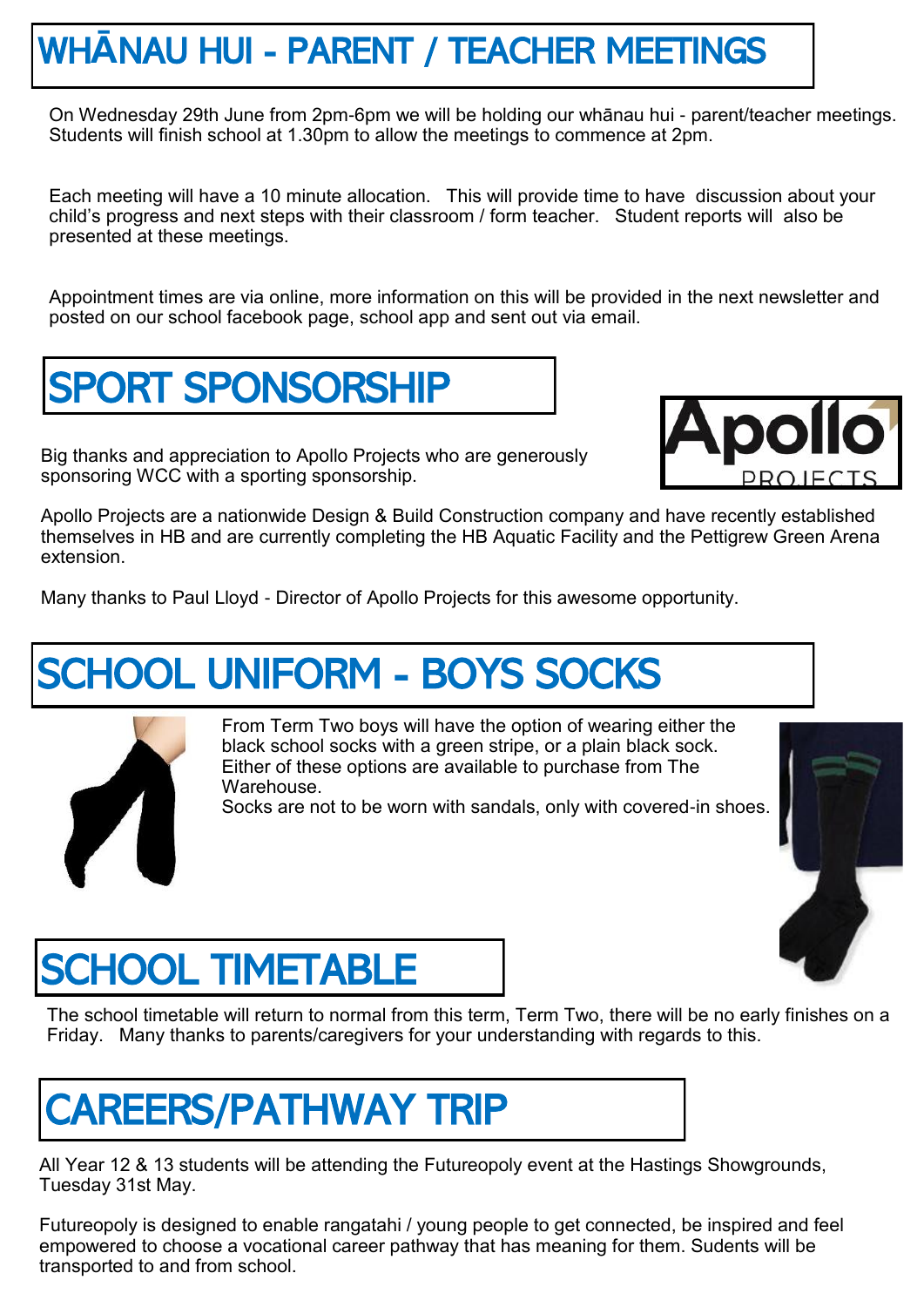#### WH**Ā**NAU HUI - PARENT / TEACHER MEETINGS

On Wednesday 29th June from 2pm-6pm we will be holding our whānau hui - parent/teacher meetings. Students will finish school at 1.30pm to allow the meetings to commence at 2pm.

Each meeting will have a 10 minute allocation. This will provide time to have discussion about your child's progress and next steps with their classroom / form teacher. Student reports will also be presented at these meetings.

Appointment times are via online, more information on this will be provided in the next newsletter and posted on our school facebook page, school app and sent out via email.



Big thanks and appreciation to Apollo Projects who are generously sponsoring WCC with a sporting sponsorship.



Apollo Projects are a nationwide Design & Build Construction company and have recently established themselves in HB and are currently completing the HB Aquatic Facility and the Pettigrew Green Arena extension.

Many thanks to Paul Lloyd - Director of Apollo Projects for this awesome opportunity.

#### CHOOL UNIFORM - BOYS SOCKS



From Term Two boys will have the option of wearing either the black school socks with a green stripe, or a plain black sock. Either of these options are available to purchase from The Warehouse.

Socks are not to be worn with sandals, only with covered-in shoes.



### SCHOOL TIMETABLE

The school timetable will return to normal from this term, Term Two, there will be no early finishes on a Friday. Many thanks to parents/caregivers for your understanding with regards to this.

#### CAREERS/PATHWAY TRIP

All Year 12 & 13 students will be attending the Futureopoly event at the Hastings Showgrounds, Tuesday 31st May.

Futureopoly is designed to enable rangatahi / young people to get connected, be inspired and feel empowered to choose a vocational career pathway that has meaning for them. Sudents will be transported to and from school.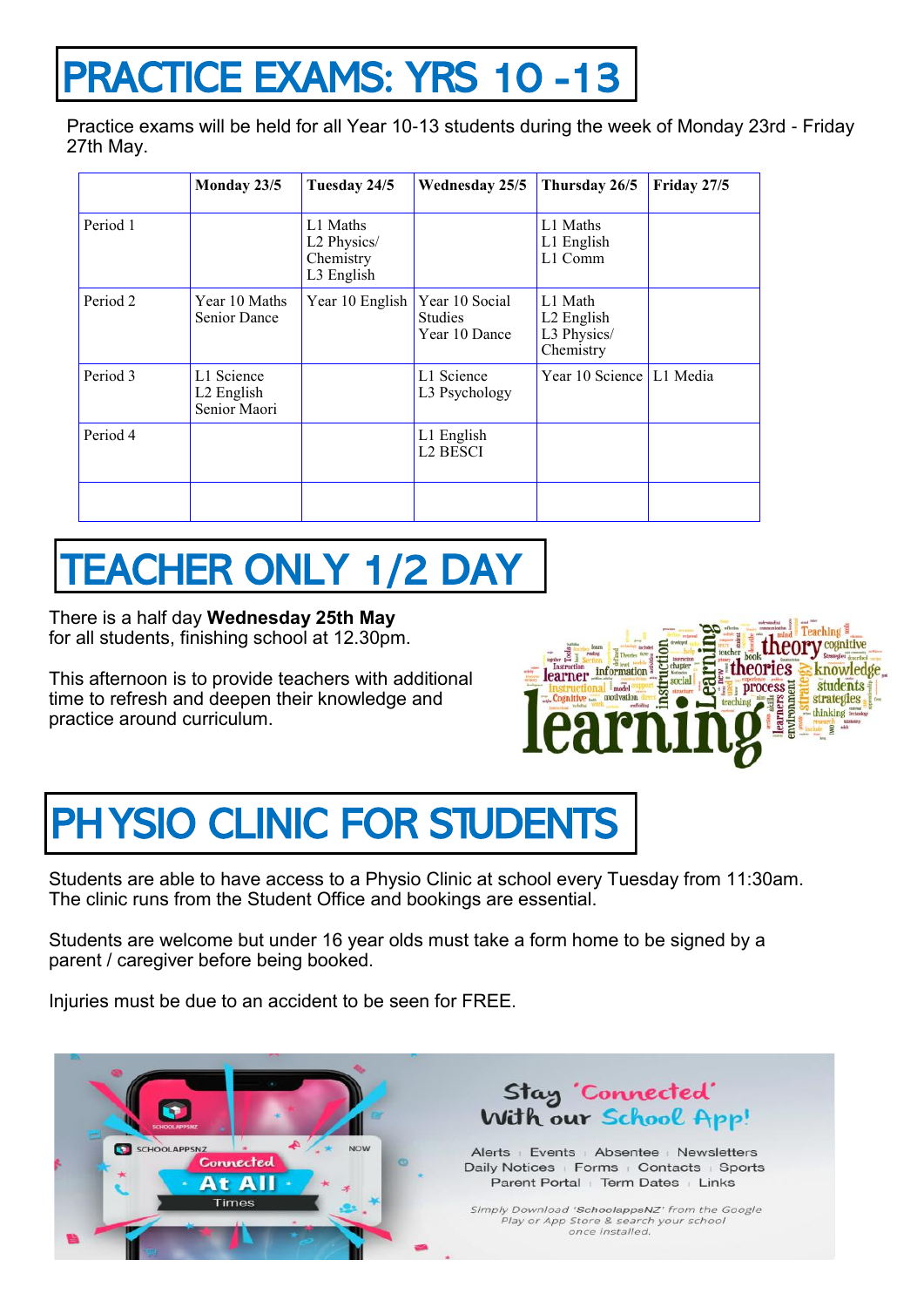## PRACTICE EXAMS: YRS 10 -13

Practice exams will be held for all Year 10-13 students during the week of Monday 23rd - Friday 27th May.

|          | Monday 23/5                                          | Tuesday 24/5                                       | Wednesday 25/5                                    | Thursday 26/5                                                 | Friday 27/5 |
|----------|------------------------------------------------------|----------------------------------------------------|---------------------------------------------------|---------------------------------------------------------------|-------------|
| Period 1 |                                                      | L1 Maths<br>L2 Physics/<br>Chemistry<br>L3 English |                                                   | L1 Maths<br>L1 English<br>L1 Comm                             |             |
| Period 2 | Year 10 Maths<br><b>Senior Dance</b>                 | Year 10 English                                    | Year 10 Social<br><b>Studies</b><br>Year 10 Dance | L1 Math<br>L <sub>2</sub> English<br>L3 Physics/<br>Chemistry |             |
| Period 3 | L1 Science<br>L <sub>2</sub> English<br>Senior Maori |                                                    | L1 Science<br>L3 Psychology                       | Year 10 Science L1 Media                                      |             |
| Period 4 |                                                      |                                                    | L1 English<br><b>L2 BESCI</b>                     |                                                               |             |
|          |                                                      |                                                    |                                                   |                                                               |             |

# TEACHER ONLY 1/2 DAY

There is a half day **Wednesday 25th May** for all students, finishing school at 12.30pm.

This afternoon is to provide teachers with additional time to refresh and deepen their knowledge and practice around curriculum.



# PHYSIO CLINIC FOR STUDENTS

Students are able to have access to a Physio Clinic at school every Tuesday from 11:30am. The clinic runs from the Student Office and bookings are essential.

Students are welcome but under 16 year olds must take a form home to be signed by a parent / caregiver before being booked.

Injuries must be due to an accident to be seen for FREE.